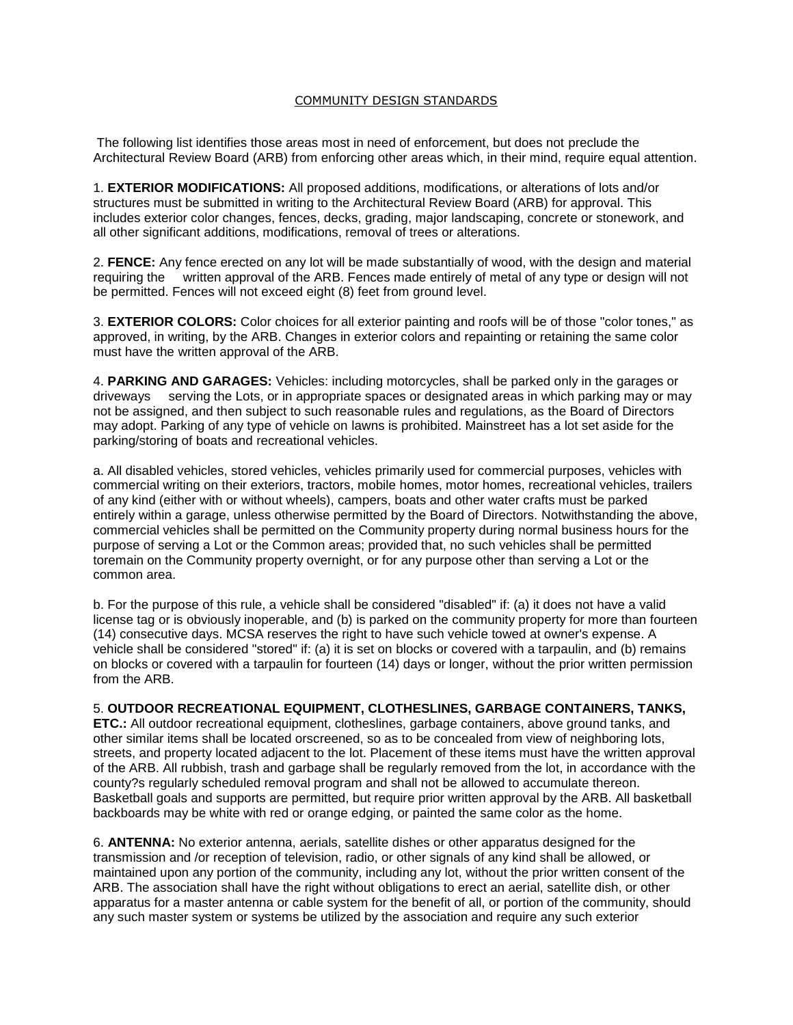## [COMMUNITY DESIGN STANDARDS](http://wsm.ezsitedesigner.com/page16.html)

The following list identifies those areas most in need of enforcement, but does not preclude the Architectural Review Board (ARB) from enforcing other areas which, in their mind, require equal attention.

1. **EXTERIOR MODIFICATIONS:** All proposed additions, modifications, or alterations of lots and/or structures must be submitted in writing to the Architectural Review Board (ARB) for approval. This includes exterior color changes, fences, decks, grading, major landscaping, concrete or stonework, and all other significant additions, modifications, removal of trees or alterations.

2. **FENCE:** Any fence erected on any lot will be made substantially of wood, with the design and material requiring the written approval of the ARB. Fences made entirely of metal of any type or design will not be permitted. Fences will not exceed eight (8) feet from ground level.

3. **EXTERIOR COLORS:** Color choices for all exterior painting and roofs will be of those "color tones," as approved, in writing, by the ARB. Changes in exterior colors and repainting or retaining the same color must have the written approval of the ARB.

4. **PARKING AND GARAGES:** Vehicles: including motorcycles, shall be parked only in the garages or driveways serving the Lots, or in appropriate spaces or designated areas in which parking may or may not be assigned, and then subject to such reasonable rules and regulations, as the Board of Directors may adopt. Parking of any type of vehicle on lawns is prohibited. Mainstreet has a lot set aside for the parking/storing of boats and recreational vehicles.

a. All disabled vehicles, stored vehicles, vehicles primarily used for commercial purposes, vehicles with commercial writing on their exteriors, tractors, mobile homes, motor homes, recreational vehicles, trailers of any kind (either with or without wheels), campers, boats and other water crafts must be parked entirely within a garage, unless otherwise permitted by the Board of Directors. Notwithstanding the above, commercial vehicles shall be permitted on the Community property during normal business hours for the purpose of serving a Lot or the Common areas; provided that, no such vehicles shall be permitted toremain on the Community property overnight, or for any purpose other than serving a Lot or the common area.

b. For the purpose of this rule, a vehicle shall be considered "disabled" if: (a) it does not have a valid license tag or is obviously inoperable, and (b) is parked on the community property for more than fourteen (14) consecutive days. MCSA reserves the right to have such vehicle towed at owner's expense. A vehicle shall be considered "stored" if: (a) it is set on blocks or covered with a tarpaulin, and (b) remains on blocks or covered with a tarpaulin for fourteen (14) days or longer, without the prior written permission from the ARB.

5. **OUTDOOR RECREATIONAL EQUIPMENT, CLOTHESLINES, GARBAGE CONTAINERS, TANKS, ETC.:** All outdoor recreational equipment, clotheslines, garbage containers, above ground tanks, and other similar items shall be located orscreened, so as to be concealed from view of neighboring lots, streets, and property located adjacent to the lot. Placement of these items must have the written approval of the ARB. All rubbish, trash and garbage shall be regularly removed from the lot, in accordance with the county?s regularly scheduled removal program and shall not be allowed to accumulate thereon.

Basketball goals and supports are permitted, but require prior written approval by the ARB. All basketball backboards may be white with red or orange edging, or painted the same color as the home.

6. **ANTENNA:** No exterior antenna, aerials, satellite dishes or other apparatus designed for the transmission and /or reception of television, radio, or other signals of any kind shall be allowed, or maintained upon any portion of the community, including any lot, without the prior written consent of the ARB. The association shall have the right without obligations to erect an aerial, satellite dish, or other apparatus for a master antenna or cable system for the benefit of all, or portion of the community, should any such master system or systems be utilized by the association and require any such exterior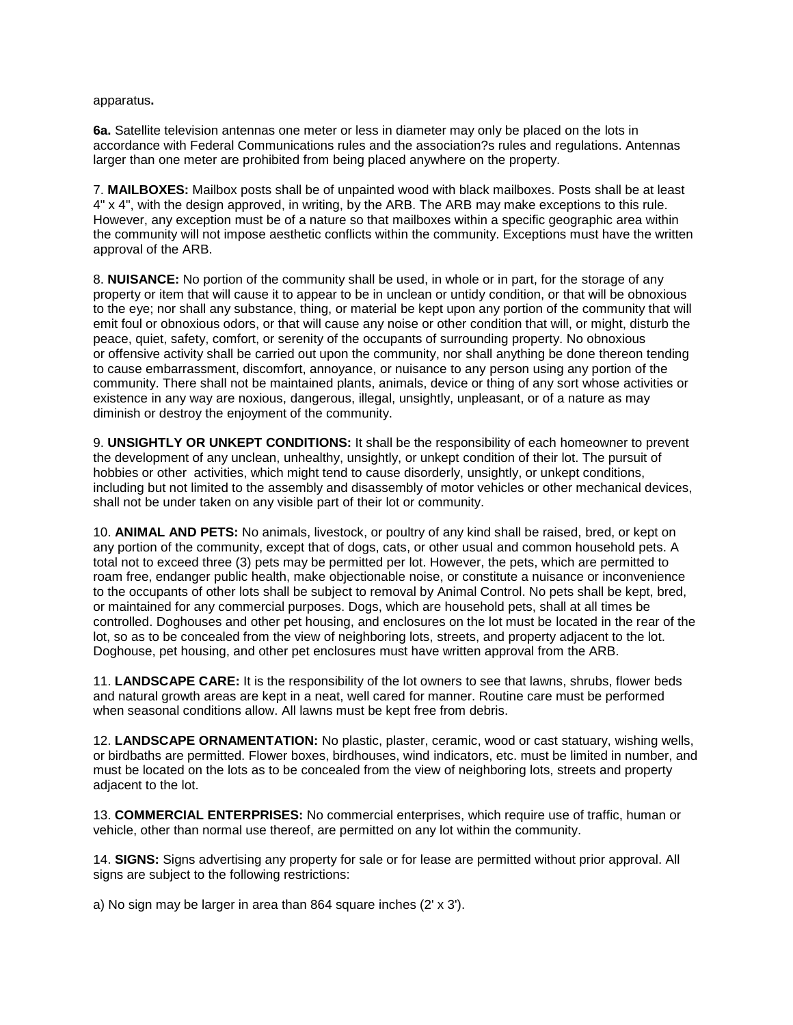apparatus**.**

**6a.** Satellite television antennas one meter or less in diameter may only be placed on the lots in accordance with Federal Communications rules and the association?s rules and regulations. Antennas larger than one meter are prohibited from being placed anywhere on the property.

7. **MAILBOXES:** Mailbox posts shall be of unpainted wood with black mailboxes. Posts shall be at least 4" x 4", with the design approved, in writing, by the ARB. The ARB may make exceptions to this rule. However, any exception must be of a nature so that mailboxes within a specific geographic area within the community will not impose aesthetic conflicts within the community. Exceptions must have the written approval of the ARB.

8. **NUISANCE:** No portion of the community shall be used, in whole or in part, for the storage of any property or item that will cause it to appear to be in unclean or untidy condition, or that will be obnoxious to the eye; nor shall any substance, thing, or material be kept upon any portion of the community that will emit foul or obnoxious odors, or that will cause any noise or other condition that will, or might, disturb the peace, quiet, safety, comfort, or serenity of the occupants of surrounding property. No obnoxious or offensive activity shall be carried out upon the community, nor shall anything be done thereon tending to cause embarrassment, discomfort, annoyance, or nuisance to any person using any portion of the community. There shall not be maintained plants, animals, device or thing of any sort whose activities or existence in any way are noxious, dangerous, illegal, unsightly, unpleasant, or of a nature as may diminish or destroy the enjoyment of the community.

9. **UNSIGHTLY OR UNKEPT CONDITIONS:** It shall be the responsibility of each homeowner to prevent the development of any unclean, unhealthy, unsightly, or unkept condition of their lot. The pursuit of hobbies or other activities, which might tend to cause disorderly, unsightly, or unkept conditions, including but not limited to the assembly and disassembly of motor vehicles or other mechanical devices, shall not be under taken on any visible part of their lot or community.

10. **ANIMAL AND PETS:** No animals, livestock, or poultry of any kind shall be raised, bred, or kept on any portion of the community, except that of dogs, cats, or other usual and common household pets. A total not to exceed three (3) pets may be permitted per lot. However, the pets, which are permitted to roam free, endanger public health, make objectionable noise, or constitute a nuisance or inconvenience to the occupants of other lots shall be subject to removal by Animal Control. No pets shall be kept, bred, or maintained for any commercial purposes. Dogs, which are household pets, shall at all times be controlled. Doghouses and other pet housing, and enclosures on the lot must be located in the rear of the lot, so as to be concealed from the view of neighboring lots, streets, and property adjacent to the lot. Doghouse, pet housing, and other pet enclosures must have written approval from the ARB.

11. **LANDSCAPE CARE:** It is the responsibility of the lot owners to see that lawns, shrubs, flower beds and natural growth areas are kept in a neat, well cared for manner. Routine care must be performed when seasonal conditions allow. All lawns must be kept free from debris.

12. **LANDSCAPE ORNAMENTATION:** No plastic, plaster, ceramic, wood or cast statuary, wishing wells, or birdbaths are permitted. Flower boxes, birdhouses, wind indicators, etc. must be limited in number, and must be located on the lots as to be concealed from the view of neighboring lots, streets and property adjacent to the lot.

13. **COMMERCIAL ENTERPRISES:** No commercial enterprises, which require use of traffic, human or vehicle, other than normal use thereof, are permitted on any lot within the community.

14. **SIGNS:** Signs advertising any property for sale or for lease are permitted without prior approval. All signs are subject to the following restrictions:

a) No sign may be larger in area than 864 square inches (2' x 3').